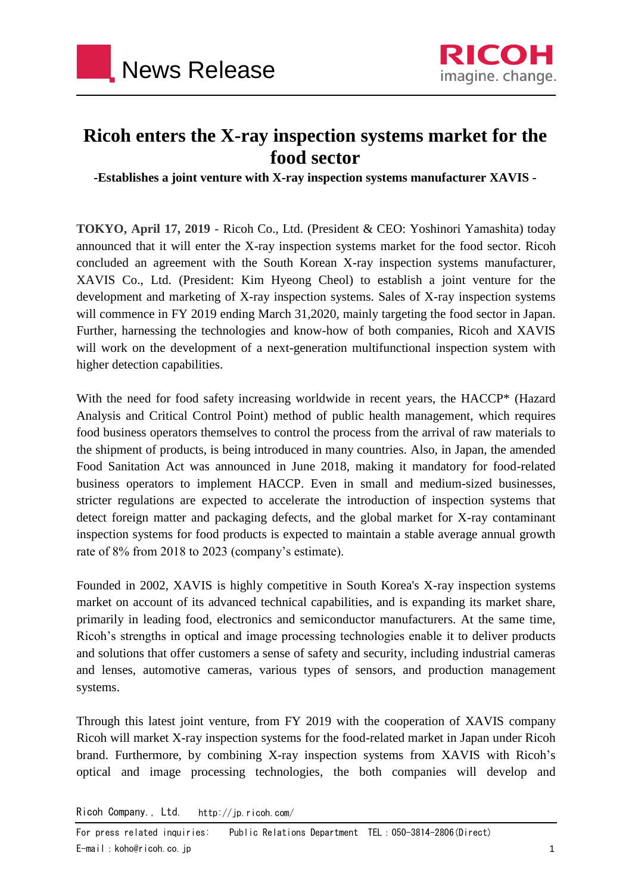



## **Ricoh enters the X-ray inspection systems market for the food sector**

**-Establishes a joint venture with X-ray inspection systems manufacturer XAVIS -**

**TOKYO, April 17, 2019 -** Ricoh Co., Ltd. (President & CEO: Yoshinori Yamashita) today announced that it will enter the X-ray inspection systems market for the food sector. Ricoh concluded an agreement with the South Korean X-ray inspection systems manufacturer, XAVIS Co., Ltd. (President: Kim Hyeong Cheol) to establish a joint venture for the development and marketing of X-ray inspection systems. Sales of X-ray inspection systems will commence in FY 2019 ending March 31,2020, mainly targeting the food sector in Japan. Further, harnessing the technologies and know-how of both companies, Ricoh and XAVIS will work on the development of a next-generation multifunctional inspection system with higher detection capabilities.

With the need for food safety increasing worldwide in recent years, the HACCP\* (Hazard Analysis and Critical Control Point) method of public health management, which requires food business operators themselves to control the process from the arrival of raw materials to the shipment of products, is being introduced in many countries. Also, in Japan, the amended Food Sanitation Act was announced in June 2018, making it mandatory for food-related business operators to implement HACCP. Even in small and medium-sized businesses, stricter regulations are expected to accelerate the introduction of inspection systems that detect foreign matter and packaging defects, and the global market for X-ray contaminant inspection systems for food products is expected to maintain a stable average annual growth rate of 8% from 2018 to 2023 (company's estimate).

Founded in 2002, XAVIS is highly competitive in South Korea's X-ray inspection systems market on account of its advanced technical capabilities, and is expanding its market share, primarily in leading food, electronics and semiconductor manufacturers. At the same time, Ricoh's strengths in optical and image processing technologies enable it to deliver products and solutions that offer customers a sense of safety and security, including industrial cameras and lenses, automotive cameras, various types of sensors, and production management systems.

Through this latest joint venture, from FY 2019 with the cooperation of XAVIS company Ricoh will market X-ray inspection systems for the food-related market in Japan under Ricoh brand. Furthermore, by combining X-ray inspection systems from XAVIS with Ricoh's optical and image processing technologies, the both companies will develop and

Ricoh Company., Ltd. http://jp.ricoh.com/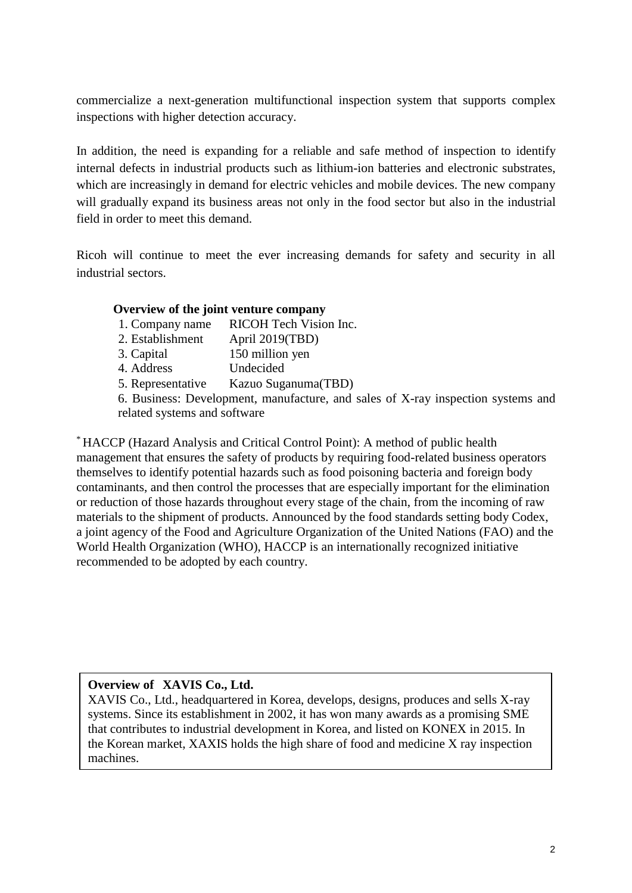commercialize a next-generation multifunctional inspection system that supports complex inspections with higher detection accuracy.

In addition, the need is expanding for a reliable and safe method of inspection to identify internal defects in industrial products such as lithium-ion batteries and electronic substrates, which are increasingly in demand for electric vehicles and mobile devices. The new company will gradually expand its business areas not only in the food sector but also in the industrial field in order to meet this demand.

Ricoh will continue to meet the ever increasing demands for safety and security in all industrial sectors.

## **Overview of the joint venture company**

- 1. Company name RICOH Tech Vision Inc.
- 2. Establishment April 2019(TBD)
- 3. Capital 150 million yen
- 4. Address Undecided
- 5. Representative Kazuo Suganuma(TBD)

6. Business: Development, manufacture, and sales of X-ray inspection systems and related systems and software

\* HACCP (Hazard Analysis and Critical Control Point): A method of public health management that ensures the safety of products by requiring food-related business operators themselves to identify potential hazards such as food poisoning bacteria and foreign body contaminants, and then control the processes that are especially important for the elimination or reduction of those hazards throughout every stage of the chain, from the incoming of raw materials to the shipment of products. Announced by the food standards setting body Codex, a joint agency of the Food and Agriculture Organization of the United Nations (FAO) and the World Health Organization (WHO), HACCP is an internationally recognized initiative recommended to be adopted by each country.

## **Overview of XAVIS Co., Ltd.**

XAVIS Co., Ltd., headquartered in Korea, develops, designs, produces and sells X-ray systems. Since its establishment in 2002, it has won many awards as a promising SME that contributes to industrial development in Korea, and listed on KONEX in 2015. In the Korean market, XAXIS holds the high share of food and medicine X ray inspection machines.